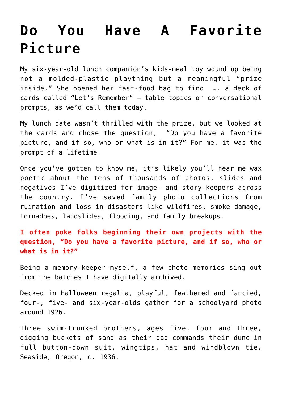## **[Do You Have A Favorite](https://mybeautifullifestory.com/do-you-have-a-favorite-picture/) [Picture](https://mybeautifullifestory.com/do-you-have-a-favorite-picture/)**

My six-year-old lunch companion's kids-meal toy wound up being not a molded-plastic plaything but a meaningful "prize inside." She opened her fast-food bag to find …. a deck of cards called "Let's Remember" — table topics or conversational prompts, as we'd call them today.

My lunch date wasn't thrilled with the prize, but we looked at the cards and chose the question, "Do you have a favorite picture, and if so, who or what is in it?" For me, it was the prompt of a lifetime.

Once you've gotten to know me, it's likely you'll hear me wax poetic about the tens of thousands of photos, slides and negatives I've digitized for image- and story-keepers across the country. I've saved family photo collections from ruination and loss in disasters like wildfires, smoke damage, tornadoes, landslides, flooding, and family breakups. 

**I often poke folks beginning their own projects with the question, "Do you have a favorite picture, and if so, who or what is in it?"**

Being a memory-keeper myself, a few photo memories sing out from the batches I have digitally archived.

Decked in Halloween regalia, playful, feathered and fancied, four-, five- and six-year-olds gather for a schoolyard photo around 1926.

Three swim-trunked brothers, ages five, four and three, digging buckets of sand as their dad commands their dune in full button-down suit, wingtips, hat and windblown tie. Seaside, Oregon, c. 1936.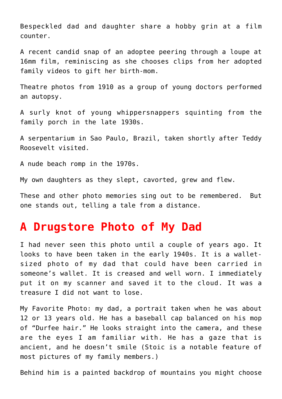Bespeckled dad and daughter share a hobby grin at a film counter.

A recent candid snap of an adoptee peering through a loupe at 16mm film, reminiscing as she chooses clips from her adopted family videos to gift her birth-mom.

Theatre photos from 1910 as a group of young doctors performed an autopsy.

A surly knot of young whippersnappers squinting from the family porch in the late 1930s.

A serpentarium in Sao Paulo, Brazil, taken shortly after Teddy Roosevelt visited.

A nude beach romp in the 1970s.

My own daughters as they slept, cavorted, grew and flew.

These and other photo memories sing out to be remembered.  But one stands out, telling a tale from a distance.

## **A Drugstore Photo of My Dad**

I had never seen this photo until a couple of years ago. It looks to have been taken in the early 1940s. It is a walletsized photo of my dad that could have been carried in someone's wallet. It is creased and well worn. I immediately put it on my scanner and saved it to the cloud. It was a treasure I did not want to lose.

My Favorite Photo: my dad, a portrait taken when he was about 12 or 13 years old. He has a baseball cap balanced on his mop of "Durfee hair." He looks straight into the camera, and these are the eyes I am familiar with. He has a gaze that is ancient, and he doesn't smile (Stoic is a notable feature of most pictures of my family members.)

Behind him is a painted backdrop of mountains you might choose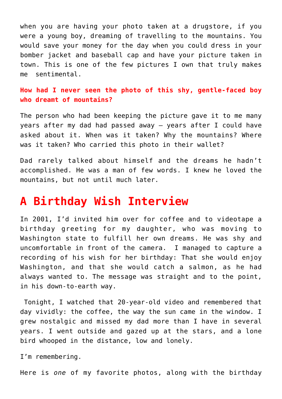when you are having your photo taken at a drugstore, if you were a young boy, dreaming of travelling to the mountains. You would save your money for the day when you could dress in your bomber jacket and baseball cap and have your picture taken in town. This is one of the few pictures I own that truly makes me sentimental.

**How had I never seen the photo of this shy, gentle-faced boy who dreamt of mountains?**

The person who had been keeping the picture gave it to me many years after my dad had passed away — years after I could have asked about it. When was it taken? Why the mountains? Where was it taken? Who carried this photo in their wallet?

Dad rarely talked about himself and the dreams he hadn't accomplished. He was a man of few words. I knew he loved the mountains, but not until much later.

## **A Birthday Wish Interview**

In 2001, I'd invited him over for coffee and to videotape a birthday greeting for my daughter, who was moving to Washington state to fulfill her own dreams. He was shy and uncomfortable in front of the camera.  I managed to capture a recording of his wish for her birthday: That she would enjoy Washington, and that she would catch a salmon, as he had always wanted to. The message was straight and to the point, in his down-to-earth way.

 Tonight, I watched that 20-year-old video and remembered that day vividly: the coffee, the way the sun came in the window. I grew nostalgic and missed my dad more than I have in several years. I went outside and gazed up at the stars, and a lone bird whooped in the distance, low and lonely.

I'm remembering.

Here is *one* of my favorite photos, along with the birthday